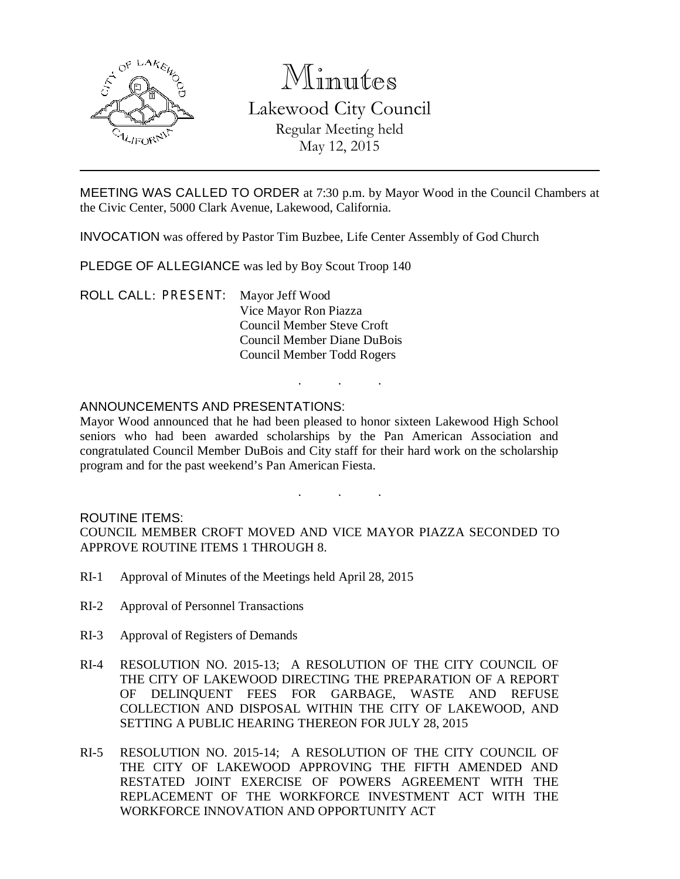

# Minutes

Lakewood City Council Regular Meeting held May 12, 2015

MEETING WAS CALLED TO ORDER at 7:30 p.m. by Mayor Wood in the Council Chambers at the Civic Center, 5000 Clark Avenue, Lakewood, California.

INVOCATION was offered by Pastor Tim Buzbee, Life Center Assembly of God Church

PLEDGE OF ALLEGIANCE was led by Boy Scout Troop 140

ROLL CALL: PRESENT: Mayor Jeff Wood Vice Mayor Ron Piazza Council Member Steve Croft Council Member Diane DuBois Council Member Todd Rogers

## ANNOUNCEMENTS AND PRESENTATIONS:

Mayor Wood announced that he had been pleased to honor sixteen Lakewood High School seniors who had been awarded scholarships by the Pan American Association and congratulated Council Member DuBois and City staff for their hard work on the scholarship program and for the past weekend's Pan American Fiesta.

. . .

. . .

## ROUTINE ITEMS:

COUNCIL MEMBER CROFT MOVED AND VICE MAYOR PIAZZA SECONDED TO APPROVE ROUTINE ITEMS 1 THROUGH 8.

- RI-1 Approval of Minutes of the Meetings held April 28, 2015
- RI-2 Approval of Personnel Transactions
- RI-3 Approval of Registers of Demands
- RI-4 RESOLUTION NO. 2015-13; A RESOLUTION OF THE CITY COUNCIL OF THE CITY OF LAKEWOOD DIRECTING THE PREPARATION OF A REPORT OF DELINQUENT FEES FOR GARBAGE, WASTE AND REFUSE COLLECTION AND DISPOSAL WITHIN THE CITY OF LAKEWOOD, AND SETTING A PUBLIC HEARING THEREON FOR JULY 28, 2015
- RI-5 RESOLUTION NO. 2015-14; A RESOLUTION OF THE CITY COUNCIL OF THE CITY OF LAKEWOOD APPROVING THE FIFTH AMENDED AND RESTATED JOINT EXERCISE OF POWERS AGREEMENT WITH THE REPLACEMENT OF THE WORKFORCE INVESTMENT ACT WITH THE WORKFORCE INNOVATION AND OPPORTUNITY ACT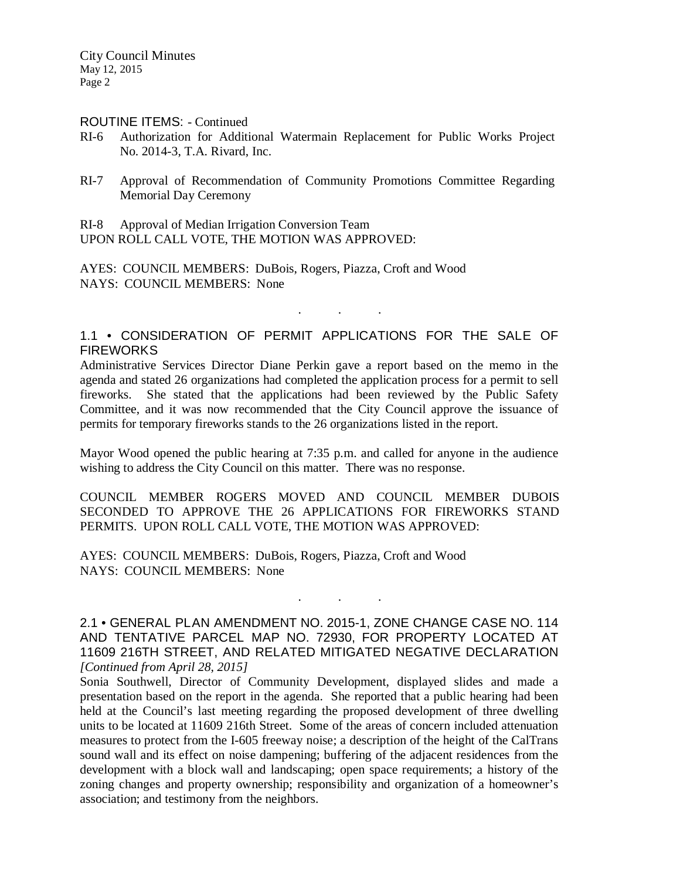#### ROUTINE ITEMS: - Continued

- RI-6 Authorization for Additional Watermain Replacement for Public Works Project No. 2014-3, T.A. Rivard, Inc.
- RI-7 Approval of Recommendation of Community Promotions Committee Regarding Memorial Day Ceremony

RI-8 Approval of Median Irrigation Conversion Team UPON ROLL CALL VOTE, THE MOTION WAS APPROVED:

AYES: COUNCIL MEMBERS: DuBois, Rogers, Piazza, Croft and Wood NAYS: COUNCIL MEMBERS: None

# 1.1 • CONSIDERATION OF PERMIT APPLICATIONS FOR THE SALE OF **FIREWORKS**

. . .

Administrative Services Director Diane Perkin gave a report based on the memo in the agenda and stated 26 organizations had completed the application process for a permit to sell fireworks. She stated that the applications had been reviewed by the Public Safety Committee, and it was now recommended that the City Council approve the issuance of permits for temporary fireworks stands to the 26 organizations listed in the report.

Mayor Wood opened the public hearing at 7:35 p.m. and called for anyone in the audience wishing to address the City Council on this matter. There was no response.

COUNCIL MEMBER ROGERS MOVED AND COUNCIL MEMBER DUBOIS SECONDED TO APPROVE THE 26 APPLICATIONS FOR FIREWORKS STAND PERMITS. UPON ROLL CALL VOTE, THE MOTION WAS APPROVED:

AYES: COUNCIL MEMBERS: DuBois, Rogers, Piazza, Croft and Wood NAYS: COUNCIL MEMBERS: None

2.1 • GENERAL PLAN AMENDMENT NO. 2015-1, ZONE CHANGE CASE NO. 114 AND TENTATIVE PARCEL MAP NO. 72930, FOR PROPERTY LOCATED AT 11609 216TH STREET, AND RELATED MITIGATED NEGATIVE DECLARATION *[Continued from April 28, 2015]*

. . .

Sonia Southwell, Director of Community Development, displayed slides and made a presentation based on the report in the agenda. She reported that a public hearing had been held at the Council's last meeting regarding the proposed development of three dwelling units to be located at 11609 216th Street. Some of the areas of concern included attenuation measures to protect from the I-605 freeway noise; a description of the height of the CalTrans sound wall and its effect on noise dampening; buffering of the adjacent residences from the development with a block wall and landscaping; open space requirements; a history of the zoning changes and property ownership; responsibility and organization of a homeowner's association; and testimony from the neighbors.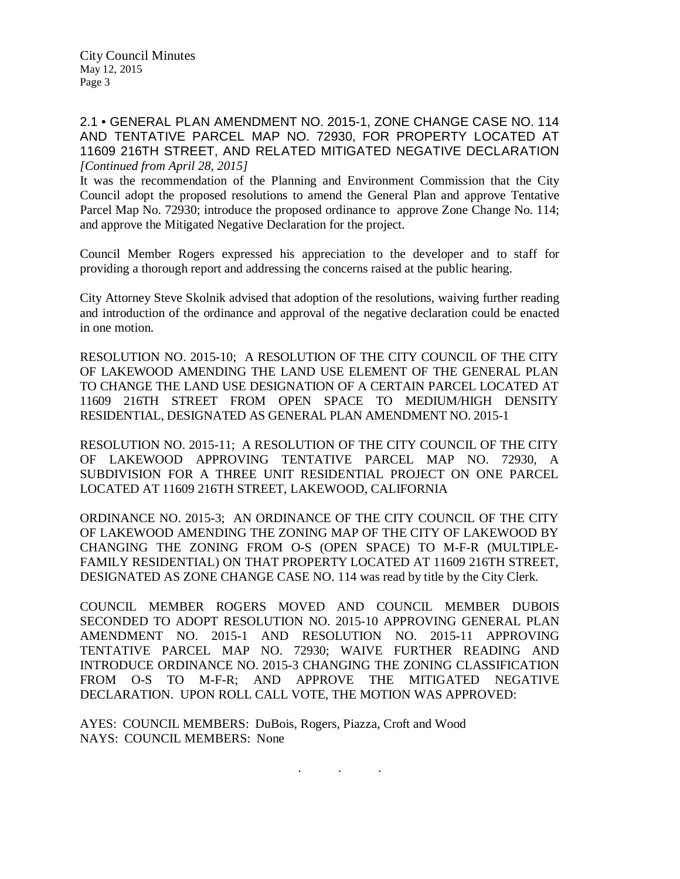2.1 • GENERAL PLAN AMENDMENT NO. 2015-1, ZONE CHANGE CASE NO. 114 AND TENTATIVE PARCEL MAP NO. 72930, FOR PROPERTY LOCATED AT 11609 216TH STREET, AND RELATED MITIGATED NEGATIVE DECLARATION *[Continued from April 28, 2015]*

It was the recommendation of the Planning and Environment Commission that the City Council adopt the proposed resolutions to amend the General Plan and approve Tentative Parcel Map No. 72930; introduce the proposed ordinance to approve Zone Change No. 114; and approve the Mitigated Negative Declaration for the project.

Council Member Rogers expressed his appreciation to the developer and to staff for providing a thorough report and addressing the concerns raised at the public hearing.

City Attorney Steve Skolnik advised that adoption of the resolutions, waiving further reading and introduction of the ordinance and approval of the negative declaration could be enacted in one motion.

RESOLUTION NO. 2015-10; A RESOLUTION OF THE CITY COUNCIL OF THE CITY OF LAKEWOOD AMENDING THE LAND USE ELEMENT OF THE GENERAL PLAN TO CHANGE THE LAND USE DESIGNATION OF A CERTAIN PARCEL LOCATED AT 11609 216TH STREET FROM OPEN SPACE TO MEDIUM/HIGH DENSITY RESIDENTIAL, DESIGNATED AS GENERAL PLAN AMENDMENT NO. 2015-1

RESOLUTION NO. 2015-11; A RESOLUTION OF THE CITY COUNCIL OF THE CITY OF LAKEWOOD APPROVING TENTATIVE PARCEL MAP NO. 72930, A SUBDIVISION FOR A THREE UNIT RESIDENTIAL PROJECT ON ONE PARCEL LOCATED AT 11609 216TH STREET, LAKEWOOD, CALIFORNIA

ORDINANCE NO. 2015-3; AN ORDINANCE OF THE CITY COUNCIL OF THE CITY OF LAKEWOOD AMENDING THE ZONING MAP OF THE CITY OF LAKEWOOD BY CHANGING THE ZONING FROM O-S (OPEN SPACE) TO M-F-R (MULTIPLE-FAMILY RESIDENTIAL) ON THAT PROPERTY LOCATED AT 11609 216TH STREET, DESIGNATED AS ZONE CHANGE CASE NO. 114 was read by title by the City Clerk.

COUNCIL MEMBER ROGERS MOVED AND COUNCIL MEMBER DUBOIS SECONDED TO ADOPT RESOLUTION NO. 2015-10 APPROVING GENERAL PLAN AMENDMENT NO. 2015-1 AND RESOLUTION NO. 2015-11 APPROVING TENTATIVE PARCEL MAP NO. 72930; WAIVE FURTHER READING AND INTRODUCE ORDINANCE NO. 2015-3 CHANGING THE ZONING CLASSIFICATION FROM O-S TO M-F-R; AND APPROVE THE MITIGATED NEGATIVE DECLARATION. UPON ROLL CALL VOTE, THE MOTION WAS APPROVED:

. . .

AYES: COUNCIL MEMBERS: DuBois, Rogers, Piazza, Croft and Wood NAYS: COUNCIL MEMBERS: None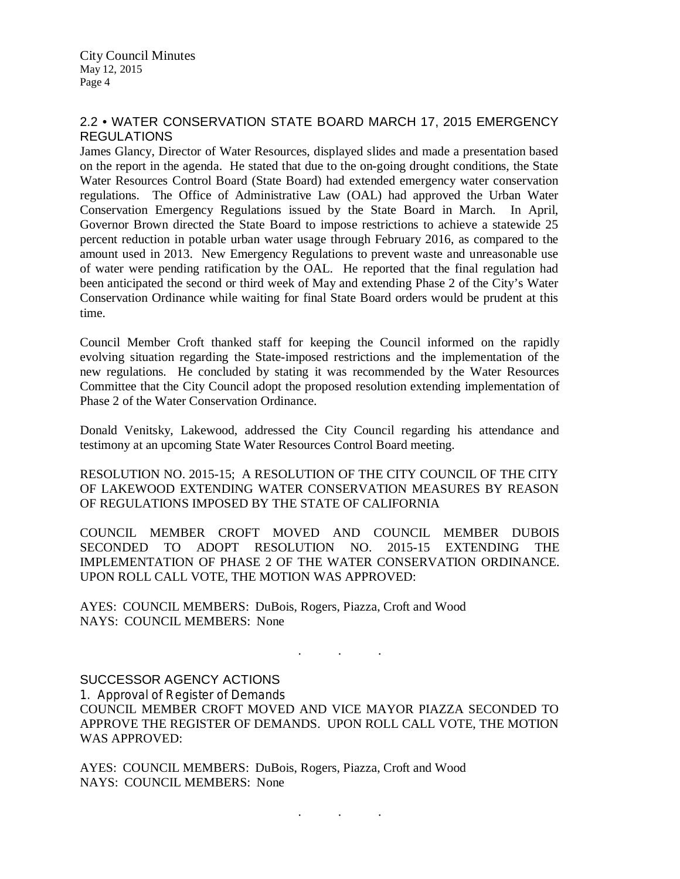## 2.2 • WATER CONSERVATION STATE BOARD MARCH 17, 2015 EMERGENCY REGULATIONS

James Glancy, Director of Water Resources, displayed slides and made a presentation based on the report in the agenda. He stated that due to the on-going drought conditions, the State Water Resources Control Board (State Board) had extended emergency water conservation regulations. The Office of Administrative Law (OAL) had approved the Urban Water Conservation Emergency Regulations issued by the State Board in March. In April, Governor Brown directed the State Board to impose restrictions to achieve a statewide 25 percent reduction in potable urban water usage through February 2016, as compared to the amount used in 2013. New Emergency Regulations to prevent waste and unreasonable use of water were pending ratification by the OAL. He reported that the final regulation had been anticipated the second or third week of May and extending Phase 2 of the City's Water Conservation Ordinance while waiting for final State Board orders would be prudent at this time.

Council Member Croft thanked staff for keeping the Council informed on the rapidly evolving situation regarding the State-imposed restrictions and the implementation of the new regulations. He concluded by stating it was recommended by the Water Resources Committee that the City Council adopt the proposed resolution extending implementation of Phase 2 of the Water Conservation Ordinance.

Donald Venitsky, Lakewood, addressed the City Council regarding his attendance and testimony at an upcoming State Water Resources Control Board meeting.

RESOLUTION NO. 2015-15; A RESOLUTION OF THE CITY COUNCIL OF THE CITY OF LAKEWOOD EXTENDING WATER CONSERVATION MEASURES BY REASON OF REGULATIONS IMPOSED BY THE STATE OF CALIFORNIA

COUNCIL MEMBER CROFT MOVED AND COUNCIL MEMBER DUBOIS SECONDED TO ADOPT RESOLUTION NO. 2015-15 EXTENDING THE IMPLEMENTATION OF PHASE 2 OF THE WATER CONSERVATION ORDINANCE. UPON ROLL CALL VOTE, THE MOTION WAS APPROVED:

. . .

. . .

AYES: COUNCIL MEMBERS: DuBois, Rogers, Piazza, Croft and Wood NAYS: COUNCIL MEMBERS: None

SUCCESSOR AGENCY ACTIONS

1. Approval of Register of Demands COUNCIL MEMBER CROFT MOVED AND VICE MAYOR PIAZZA SECONDED TO APPROVE THE REGISTER OF DEMANDS. UPON ROLL CALL VOTE, THE MOTION WAS APPROVED:

AYES: COUNCIL MEMBERS: DuBois, Rogers, Piazza, Croft and Wood NAYS: COUNCIL MEMBERS: None